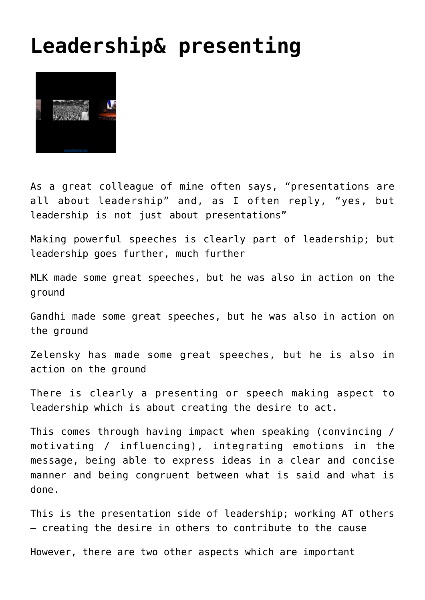## **[Leadership& presenting](http://boblarcher.com/leadership/leadership-presenting/)**



As a great colleague of mine often says, "presentations are all about leadership" and, as I often reply, "yes, but leadership is not just about presentations"

Making powerful speeches is clearly part of leadership; but leadership goes further, much further

MLK made some great speeches, but he was also in action on the ground

Gandhi made some great speeches, but he was also in action on the ground

Zelensky has made some great speeches, but he is also in action on the ground

There is clearly a presenting or speech making aspect to leadership which is about creating the desire to act.

This comes through having impact when speaking (convincing / motivating / influencing), integrating emotions in the message, being able to express ideas in a clear and concise manner and being congruent between what is said and what is done.

This is the presentation side of leadership; working AT others – creating the desire in others to contribute to the cause

However, there are two other aspects which are important